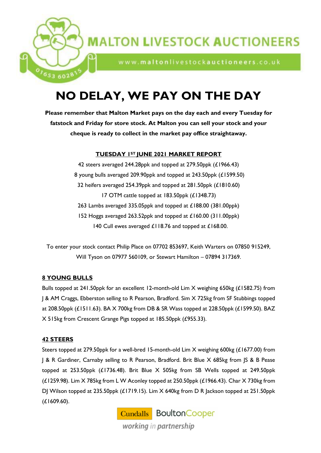

www.maltonlivestockauctioneers.co.uk

# **NO DELAY, WE PAY ON THE DAY**

**Please remember that Malton Market pays on the day each and every Tuesday for fatstock and Friday for store stock. At Malton you can sell your stock and your cheque is ready to collect in the market pay office straightaway.**

# **TUESDAY 1ST JUNE 2021 MARKET REPORT**

 steers averaged 244.28ppk and topped at 279.50ppk (£1966.43) young bulls averaged 209.90ppk and topped at 243.50ppk (£1599.50) heifers averaged 254.39ppk and topped at 281.50ppk (£1810.60) OTM cattle topped at 183.50ppk (£1348.73) 263 Lambs averaged 335.05ppk and topped at £188.00 (381.00ppk) Hoggs averaged 263.52ppk and topped at £160.00 (311.00ppk) 140 Cull ewes averaged £118.76 and topped at £168.00.

To enter your stock contact Philip Place on 07702 853697, Keith Warters on 07850 915249, Will Tyson on 07977 560109, or Stewart Hamilton – 07894 317369.

# **8 YOUNG BULLS**

 $^{0}$ <sup>1</sup>653 60281

Bulls topped at 241.50ppk for an excellent 12-month-old Lim X weighing 650kg (£1582.75) from J & AM Craggs, Ebberston selling to R Pearson, Bradford. Sim X 725kg from SF Stubbings topped at 208.50ppk (£1511.63). BA X 700kg from DB & SR Wass topped at 228.50ppk (£1599.50). BAZ X 515kg from Crescent Grange Pigs topped at 185.50ppk (£955.33).

# **42 STEERS**

Steers topped at 279.50ppk for a well-bred 15-month-old Lim X weighing 600kg (£1677.00) from J & R Gardiner, Carnaby selling to R Pearson, Bradford. Brit Blue X 685kg from JS & B Pease topped at 253.50ppk (£1736.48). Brit Blue X 505kg from SB Wells topped at 249.50ppk (£1259.98). Lim X 785kg from L W Aconley topped at 250.50ppk (£1966.43). Char X 730kg from DJ Wilson topped at 235.50ppk (£1719.15). Lim X 640kg from D R Jackson topped at 251.50ppk (£1609.60).

> **Cundalls** Boulton Cooper working in partnership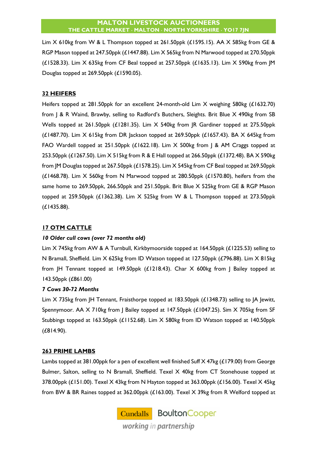Lim X 610kg from W & L Thompson topped at 261.50ppk (£1595.15). AA X 585kg from GE & RGP Mason topped at 247.50ppk (£1447.88). Lim X 565kg from N Marwood topped at 270.50ppk (£1528.33). Lim X 635kg from CF Beal topped at 257.50ppk (£1635.13). Lim X 590kg from JM Douglas topped at 269.50ppk (£1590.05).

# **32 HEIFERS**

Heifers topped at 281.50ppk for an excellent 24-month-old Lim X weighing 580kg (£1632.70) from J & R Waind, Brawby, selling to Radford's Butchers, Sleights. Brit Blue X 490kg from SB Wells topped at 261.50ppk (£1281.35). Lim X 540kg from JR Gardiner topped at 275.50ppk  $(£1487.70)$ . Lim  $X$  615kg from DR Jackson topped at 269.50ppk  $(£1657.43)$ . BA  $X$  645kg from FAO Wardell topped at 251.50ppk (£1622.18). Lim X 500kg from J & AM Craggs topped at 253.50ppk (£1267.50). Lim X 515kg from R & E Hall topped at 266.50ppk (£1372.48). BA X 590kg from JM Douglas topped at 267.50ppk (£1578.25). Lim X 545kg from CF Beal topped at 269.50ppk ( $£1468.78$ ). Lim X 560kg from N Marwood topped at 280.50ppk ( $£1570.80$ ), heifers from the same home to 269.50ppk, 266.50ppk and 251.50ppk. Brit Blue X 525kg from GE & RGP Mason topped at 259.50ppk (£1362.38). Lim X 525kg from W & L Thompson topped at 273.50ppk (£1435.88).

# **17 OTM CATTLE**

# *10 Older cull cows (over 72 months old)*

Lim X 745kg from AW & A Turnbull, Kirkbymoorside topped at 164.50ppk (£1225.53) selling to N Bramall, Sheffield. Lim X 625kg from ID Watson topped at 127.50ppk (£796.88). Lim X 815kg from JH Tennant topped at 149.50ppk (£1218.43). Char X 600kg from J Bailey topped at 143.50ppk (£861.00)

# *7 Cows 30-72 Months*

Lim X 735kg from JH Tennant, Fraisthorpe topped at 183.50ppk (£1348.73) selling to JA Jewitt, Spennymoor. AA X 710kg from | Bailey topped at 147.50ppk (£1047.25). Sim X 705kg from SF Stubbings topped at 163.50ppk (£1152.68). Lim X 580kg from ID Watson topped at 140.50ppk (£814.90).

# **263 PRIME LAMBS**

Lambs topped at 381.00ppk for a pen of excellent well finished Suff X 47kg (£179.00) from George Bulmer, Salton, selling to N Bramall, Sheffield. Texel X 40kg from CT Stonehouse topped at 378.00ppk ( $£151.00$ ). Texel  $X$  43kg from N Hayton topped at 363.00ppk ( $£156.00$ ). Texel  $X$  45kg from BW & BR Raines topped at 362.00ppk (£163.00). Texel X 39kg from R Welford topped at

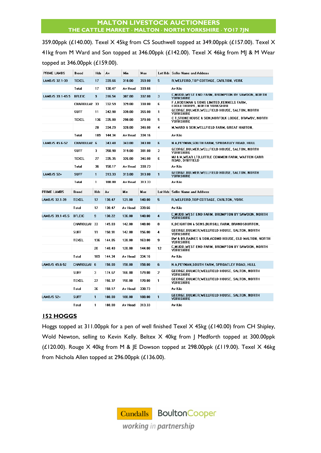359.00ppk (£140.00). Texel X 45kg from CS Southwell topped at 349.00ppk (£157.00). Texel X 41kg from M Ward and Son topped at 346.00ppk (£142.00). Texel X 46kg from MJ & M Wear topped at 346.00ppk (£159.00).

| PRIME LAMBS      | <b>Breed</b>         | <b>Hds</b>   | A٧     | Min     | Max    |                | Lot Hds   Seller Name and Address                                         |
|------------------|----------------------|--------------|--------|---------|--------|----------------|---------------------------------------------------------------------------|
| LAMB/S 32.1-39   | <b>TEXEL</b>         | 17           | 339.66 | 318.00  | 359.00 | 5              | R,WELFORD,TOP COTTAGE, CARLTON, YORK                                      |
|                  | Total                | 17           | 130.47 | Av Head | 339.66 |                | Av Kilo                                                                   |
| LAMB/S 39 1-45 5 | <b>BFLEIC</b>        | 9            | 316.54 | 307.00  | 332.00 | 3              | C,MUDD, WEST END FARM, BROMPTON BY SAWDON, NORTH<br>YORKSHIRE             |
|                  | CHAROLLAI: 33        |              | 332.59 | 329.00  | 338.00 | 6              | F J,HODSMAN & SONS LIMITED,KENNELS FARM,<br>EDDLETHORPE, NORTH YORKSHIRE  |
|                  | <b>SUFF</b>          | 11           | 342.98 | 339.00  | 355.00 | 1              | GEORGE.BULMER.WELLFIELD HOUSE. SALTON. NORTH<br>YORKSHIRE                 |
|                  | <b>TEXEL</b>         | 136          | 335.00 | 298.00  | 378.00 | 5              | C T,STONEHOUSE & SON,NORFOLK LODGE, BRAWBY, NORTH<br>YORKSHIRE            |
|                  |                      | 20           | 334.29 | 320.00  | 346.00 | 4              | M, WARD & SON, WELLFIELD FARM, GREAT HABTON,                              |
|                  | Total                | 189          | 144.34 | Av Head | 334.16 |                | Av Kilo                                                                   |
| LAMB/S 45.6-52   | CHAROLLAI: 6         |              | 343.48 | 343.00  | 343.00 | 6              | N A,PEYMAN,SOUTH FARM, SPROATLEY ROAD, HULL                               |
|                  | <b>SUFF</b>          | 3            | 358.90 | 319.00  | 381.00 | $\overline{2}$ | GEORGE.BULMER.WELLFIELD HOUSE. SALTON. NORTH<br>YORKSHIRE                 |
|                  | <b>TEXEL</b>         | 27           | 335.35 | 326.00  | 346.00 | 6              | MJ & M,WEAR LTD,LITTLE COMMON FARM, WATTON CARR<br>ROAD, DRIFFIELD        |
|                  | Total                | 36           | 158.17 | Av Head | 338.73 |                | Av Kilo                                                                   |
| LAMB/S 52+       | <b>SUFF</b>          | $\mathbf{1}$ | 313.33 | 313.00  | 313.00 | $\mathbf{1}$   | GEORGE, BULMER, WELLFIELD HOUSE, SALTON, NORTH<br><b>YORKSHIRE</b>        |
|                  | <b>Total</b>         | 1            | 188.00 | Av Head | 313.33 |                | Av Kilo                                                                   |
|                  |                      |              |        |         |        |                |                                                                           |
| PRIME LAMBS      | <b>Breed</b>         | <b>Hds</b>   | A٧     | Min     | Max    |                | Lot Hds Seller Name and Address                                           |
| LAMB/S 32.1-39   | <b>TEXEL</b>         | 17           | 130.47 | 121.00  | 140.00 | 5              | R,WELFORD,TOP COTTAGE, CARLTON, YORK                                      |
|                  | Total                | 17           | 130.47 | Av Head | 339.66 |                | Av Kilo                                                                   |
| LAMB/S 39.1-45.5 | <b>BFLEIC</b>        | 9            | 138.22 | 136.00  | 140.00 | 4              | C.MUDD.WEST END FARM. BROMPTON BY SAWDON. NORTH<br><b>YORKSHIRE</b>       |
|                  | <b>CHAROLLAI: 33</b> |              | 145.03 | 142.00  | 148.00 | 8              | K,DEIGHTON & SONS,BURSILL FARM, BRANDSBURTON,                             |
|                  | <b>SUFF</b>          | 11           | 150.91 | 142.00  | 156.00 | 4              | GEORGE,BULMER,WELLFIELD HOUSE, SALTON, NORTH<br>YORKSHIRE                 |
|                  | TEXEL                | 136          | 144.05 | 128.00  | 163.00 | 9              | BW & BR,RAINES & SON,ACOMB HOUSE, OLD MALTON, NORTH                       |
|                  |                      | 20           | 140.40 | 128.00  | 144.00 | 12             | YORKSHIRE<br>C,MUDD,WEST END FARM, BROMPTON BY SAWDON, NORTH<br>YORKSHIRE |
|                  | Total                | 189          | 144.34 | Av Head | 334.16 |                | Av Kilo                                                                   |
| LAMB/S 45.6-52   | CHAROLLAI: 6         |              | 158.00 | 158.00  | 158.00 | 6              | N A,PEYMAN,SOUTH FARM, SPROATLEY ROAD, HULL                               |
|                  | <b>SUFF</b>          | 3            | 174.67 | 166.00  | 179.00 | 2              | GEORGE,BULMER,WELLFIELD HOUSE, SALTON, NORTH<br>YORKSHIRE                 |
|                  | <b>TEXEL</b>         | 27           | 156.37 | 150.00  | 170.00 | 1              | GEORGE,BULMER,WELLFIELD HOUSE, SALTON, NORTH<br>YORKSHIRE                 |
|                  | Total                | 36           | 158.17 | Av Head | 338.73 |                | Av Kilo                                                                   |
| LAMB/S 52+       | <b>SUFF</b>          | $\mathbf{1}$ | 188.00 | 188.00  | 188.00 | $\mathbf{1}$   | GEORGE.BULMER.WELLFIELD HOUSE. SALTON. NORTH<br><b>YORKSHIRE</b>          |

# **152 HOGGS**

Hoggs topped at 311.00ppk for a pen of well finished Texel X 45kg (£140.00) from CH Shipley, Wold Newton, selling to Kevin Kelly. Beltex X 40kg from J Medforth topped at 300.00ppk (£120.00). Rouge X 40kg from M & JE Dowson topped at 298.00ppk (£119.00). Texel X 46kg from Nichola Allen topped at 296.00ppk (£136.00).

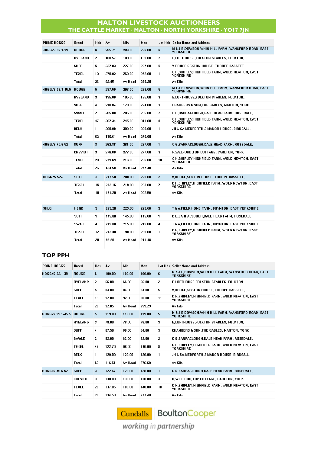| PRIME HOGGS            | Breed          | Hds            | A۷     | Min     | Max    |                | Lot Hds Seller Name and Address                                                   |
|------------------------|----------------|----------------|--------|---------|--------|----------------|-----------------------------------------------------------------------------------|
| HOGG/S 32.1-39         | <b>ROUGE</b>   | 6              | 285.71 | 286.00  | 286.00 | 6              | M & J E,DOWSON, WHIN HILL FARM, WANSFORD ROAD, EAST<br><b>YORKSHIRE</b>           |
|                        | RYELAND        | $\overline{2}$ | 188.57 | 189.00  | 189.00 | $\overline{2}$ | E,LOFTHOUSE,FOLKTON STABLES, FOLKTON,                                             |
|                        | <b>SUFF</b>    | 5              | 227.03 | 227.00  | 227.00 | 5.             | <b>V.BRUCE.SEXTON HOUSE. THORPE BASSETT.</b>                                      |
|                        | <b>TEXEL</b>   | 13             | 270.82 | 263.00  | 272.00 | 11             | C H,SHIPLEY,HIGHFIELD FARM, WOLD NEWTON, EAST<br><b>YORKSHIRE</b>                 |
|                        | Total          | 26             | 92.85  | Av Head | 259.29 |                | Av Kilo                                                                           |
| HOGG/S 39.1-45.5 ROUGE |                | 5              | 297.50 | 298.00  | 298.00 | 5              | <b>M &amp; J E.DOWSON.WHIN HILL FARM. WANSFORD ROAD. EAST</b><br><b>YORKSHIRE</b> |
|                        | RYELAND        | 3              | 195.00 | 195.00  | 195.00 | 3              | E.LOFTHOUSE.FOLKTON STABLES. FOLKTON.                                             |
|                        | <b>SUFF</b>    | $\overline{4}$ | 210.84 | 170.00  | 224.00 | 3              | <b>CHAMBERS &amp; SON.THE GABLES, MARTON, YORK</b>                                |
|                        | <b>SWALE</b>   | $\overline{2}$ | 205.00 | 205.00  | 205.00 | $\overline{2}$ | C G.BARRACLOUGH.DALE HEAD FARM, ROSEDALE,                                         |
|                        | <b>TEXEL</b>   | 47             | 287.34 | 245.00  | 311.00 | 8              | C H, SHIPLEY, HIGHFIELD FARM, WOLD NEWTON, EAST<br><b>YORKSHIRE</b>               |
|                        | <b>BELX</b>    | 1              | 300.00 | 300.00  | 300.00 | 1.             | JH & SA,MEDFORTH,2 MANOR HOUSE, BIRDSALL,                                         |
|                        | Total          | 62             | 116.61 | Av Head | 276.69 |                | Av Kilo                                                                           |
| HOGG/S 45.6-52         | <b>SUFF</b>    | 3              | 262.86 | 261.00  | 267.00 | 1              | C G.BARRACLOUGH.DALE HEAD FARM, ROSEDALE,                                         |
|                        | <b>CHEVIOT</b> | 3              | 276.60 | 277.00  | 277.00 | 3              | R.WELFORD.TOP COTTAGE, CARLTON, YORK                                              |
|                        | <b>TEXEL</b>   | 20             | 279.69 | 216.00  | 296.00 | 10             | C H, SHIPLEY, HIGHFIELD FARM, WOLD NEWTON, EAST<br>YORKSHIRE                      |
|                        | Total          | 26             | 134.58 | Av Head | 277.48 |                | Av Kilo                                                                           |
| <b>HOGG/S 52+</b>      | <b>SUFF</b>    | 3              | 217.58 | 200.00  | 229.00 | $\overline{2}$ | V, BRUCE, SEXTON HOUSE, THORPE BASSETT,                                           |
|                        | <b>TEXEL</b>   | 15             | 272.16 | 219.00  | 293.00 | 7              | C H, SHIPLEY, HIGHFIELD FARM, WOLD NEWTON, EAST<br><b>YORKSHIRE</b>               |
|                        | Total          | 18             | 151.28 | Av Head | 262.58 |                | Av Kilo                                                                           |
|                        |                |                |        |         |        |                |                                                                                   |
| <b>SHLG</b>            | <b>HERD</b>    | 3              | 223.26 | 223.00  | 223.00 | 3              | T & A,FIELD,HOME FARM, BOYNTON, EAST YORKSHIRE                                    |
|                        | <b>SUFF</b>    | $\mathbf{1}$   | 145.00 | 145.00  | 145.00 | $\mathbf{1}$   | C G.BARRACLOUGH.DALE HEAD FARM, ROSEDALE,                                         |
|                        | <b>SWALE</b>   | 4              | 215.00 | 215.00  | 215.00 | 4              | T & A FIELD HOME FARM, BOYNTON, EAST YORKSHIRE                                    |
|                        | <b>TEXEL</b>   | 12             | 212.48 | 190.00  | 269.00 | 1              | C H, SHIPLEY, HIGHFIELD FARM, WOLD NEWTON, EAST<br><b>YORKSHIRE</b>               |
|                        | <b>Total</b>   | 20             | 95.80  | Av Head | 211.48 |                | Av Kilo                                                                           |
|                        |                |                |        |         |        |                |                                                                                   |

# **TOP PPH**

| <b>PRIME HOGGS</b>     | <b>Breed</b>   | Hds            | A٧     | <b>Min</b> | Max    | Lot Hds        | Seller Name and Address                                                           |
|------------------------|----------------|----------------|--------|------------|--------|----------------|-----------------------------------------------------------------------------------|
| HOGG/S 32.1-39         | <b>ROUGE</b>   | 6              | 100.00 | 100.00     | 100.00 | 6              | M & J E,DOWSON, WHIN HILL FARM, WANSFORD ROAD, EAST<br><b>YORKSHIRE</b>           |
|                        | <b>RYELAND</b> | $\overline{2}$ | 66.00  | 66.00      | 66.00  | $\overline{2}$ | E,LOFTHOUSE,FOLKTON STABLES, FOLKTON,                                             |
|                        | <b>SUFF</b>    | 5.             | 84.00  | 84.00      | 84.00  | 5.             | <b>V,BRUCE, SEXTON HOUSE, THORPE BASSETT,</b>                                     |
|                        | <b>TEXEL</b>   | 13             | 97.08  | 92.00      | 98.00  | 11             | C H.SHIPLEY,HIGHFIELD FARM, WOLD NEWTON, EAST<br><b>YORKSHIRE</b>                 |
|                        | Total          | 26             | 92.85  | Av Head    | 259.29 |                | Av Kilo                                                                           |
| HOGG/S 39.1-45.5 ROUGE |                | 5              | 119.00 | 119.00     | 119.00 | 5              | <b>M &amp; J E.DOWSON.WHIN HILL FARM, WANSFORD ROAD, EAST</b><br><b>YORKSHIRE</b> |
|                        | RYELAND        | 3              | 78.00  | 78.00      | 78.00  | 3              | E.LOFTHOUSE.FOLKTON STABLES. FOLKTON.                                             |
|                        | <b>SUFF</b>    | 4              | 87.50  | 68.00      | 94.00  | 3              | <b>CHAMBERS &amp; SON, THE GABLES, MARTON, YORK</b>                               |
|                        | <b>SWALE</b>   | $\overline{2}$ | 82.00  | 82.00      | 82.00  | $\overline{2}$ | C G.BARRACLOUGH.DALE HEAD FARM. ROSEDALE.                                         |
|                        | <b>TEXEL</b>   | 47             | 122.70 | 98.00      | 140.00 | 8              | C H.SHIPLEY.HIGHFIELD FARM. WOLD NEWTON. EAST<br><b>YORKSHIRE</b>                 |
|                        | BELX           | 1.             | 120.00 | 120.00     | 120.00 | 1              | JH & SA,MEDFORTH,2 MANOR HOUSE, BIRDSALL,                                         |
|                        | Total          | 62             | 116.61 | Av Head    | 276.69 |                | Av Kilo                                                                           |
| HOGG/S 45.6-52         | <b>SUFF</b>    | 3              | 122.67 | 120.00     | 128.00 | 1              | C G.BARRACLOUGH,DALE HEAD FARM, ROSEDALE,                                         |
|                        | <b>CHEVIOT</b> | 3              | 130.00 | 130.00     | 130.00 | 3              | R.WELFORD.TOP COTTAGE, CARLTON, YORK                                              |
|                        | <b>TEXEL</b>   | 20             | 137.05 | 108.00     | 148.00 | 10             | C H.SHIPLEY,HIGHFIELD FARM, WOLD NEWTON, EAST<br><b>YORKSHIRE</b>                 |
|                        | Total          | 26             | 134.58 | Av Head    | 277.48 |                | Av Kilo                                                                           |

Cundalls BoultonCooper working in partnership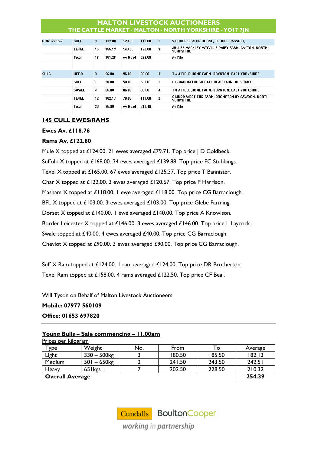| <b>HOGG/S 52+</b> | <b>SUFF</b>  | 3  | 132.00 | 128.00  | 140.00 | -1             | <b>V,BRUCE,SEXTON HOUSE, THORPE BASSETT,</b>                    |
|-------------------|--------------|----|--------|---------|--------|----------------|-----------------------------------------------------------------|
|                   | <b>TEXEL</b> | 15 | 155.13 | 140.00  | 160.00 | 3              | JM & EP.MACKLEY.MAYVILLE DAIRY FARM, CAYTON, NORTH<br>YORKSHIRE |
|                   | Total        | 18 | 151.28 | Av Head | 262.58 |                | Av Kilo                                                         |
|                   |              |    |        |         |        |                |                                                                 |
| <b>SHLG</b>       | <b>HERD</b>  | 3  | 96.00  | 96.00   | 96.00  | 3              | T & A,FIELD,HOME FARM, BOYNTON, EAST YORKSHIRE                  |
|                   | <b>SUFF</b>  | 1  | 58.00  | 58.00   | 58.00  | 1.             | C G.BARRACLOUGH.DALE HEAD FARM, ROSEDALE,                       |
|                   | <b>SWALE</b> | 4  | 86.00  | 86.00   | 86.00  | 4              | T & A,FIELD,HOME FARM, BOYNTON, EAST YORKSHIRE                  |
|                   | <b>TEXEL</b> | 12 | 102.17 | 76.00   | 141.00 | $\overline{2}$ | C.MUDD.WEST END FARM, BROMPTON BY SAWDON, NORTH<br>YORKSHIRE    |
|                   | Total        | 20 | 95.80  | Av Head | 211.48 |                | Av Kilo                                                         |
|                   |              |    |        |         |        |                |                                                                 |

# **145 CULL EWES/RAMS**

# **Ewes Av. £118.76**

# **Rams Av. £122.80**

Mule X topped at £124.00. 21 ewes averaged £79.71. Top price | D Coldbeck. Suffolk X topped at £168.00. 34 ewes averaged £139.88. Top price FC Stubbings. Texel X topped at £165.00. 67 ewes averaged £125.37. Top price T Bannister. Char X topped at £122.00. 3 ewes averaged £120.67. Top price P Harrison. Masham X topped at £118.00. 1 ewe averaged £118.00. Top price CG Barraclough. BFL X topped at £103.00. 3 ewes averaged £103.00. Top price Glebe Farming. Dorset X topped at £140.00. 1 ewe averaged £140.00. Top price A Knowlson. Border Leicester X topped at £146.00. 3 ewes averaged £146.00. Top price L Laycock. Swale topped at £40.00. 4 ewes averaged £40.00. Top price CG Barraclough. Cheviot X topped at £90.00. 3 ewes averaged £90.00. Top price CG Barraclough.

Suff X Ram topped at £124.00. 1 ram averaged £124.00. Top price DR Brotherton. Texel Ram topped at £158.00. 4 rams averaged £122.50. Top price CF Beal.

Will Tyson on Behalf of Malton Livestock Auctioneers

**Mobile: 07977 560109 Office: 01653 697820**

#### **Young Bulls – Sale commencing – 11.00am**  Prices per kilogram

| $\frac{11}{100}$ $\frac{11}{100}$ $\frac{11}{100}$ $\frac{11}{100}$<br>Туре | Weight                    | No. | From   | 1o     | Average |  |  |
|-----------------------------------------------------------------------------|---------------------------|-----|--------|--------|---------|--|--|
| Light                                                                       | $330 - 500$ kg            |     | 180.50 | 185.50 | 182.13  |  |  |
| Medium                                                                      | $501 - 650$ <sub>kg</sub> |     | 241.50 | 243.50 | 242.51  |  |  |
| Heavy                                                                       | $65$ l kgs +              |     | 202.50 | 228.50 | 210.32  |  |  |
|                                                                             | <b>Overall Average</b>    |     |        |        |         |  |  |

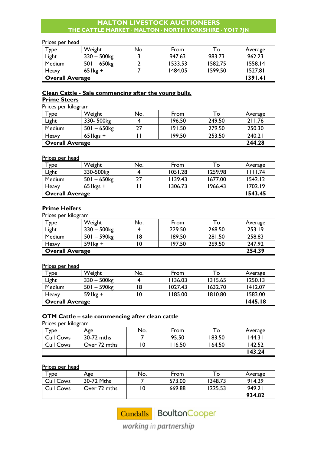#### Prices per head

| $T$ ype | Weight                 | No. | From    | То      | Average |  |
|---------|------------------------|-----|---------|---------|---------|--|
| Light   | $330 - 500$ kg         |     | 947.63  | 983.73  | 962.23  |  |
| Medium  | $501 - 650$            |     | 1533.53 | 1582.75 | 1558.14 |  |
| Heavy   | $65$ lkg +             |     | 1484.05 | 1599.50 | 1527.81 |  |
|         | <b>Overall Average</b> |     |         |         |         |  |

# **Clean Cattle - Sale commencing after the young bulls.**

# **Prime Steers**

| Prices per kilogram |             |                        |        |        |         |  |  |  |
|---------------------|-------------|------------------------|--------|--------|---------|--|--|--|
| Type                | Weight      | No.                    | From   | To     | Average |  |  |  |
| Light               | 330-500kg   |                        | 196.50 | 249.50 | 211.76  |  |  |  |
| Medium              | $501 - 650$ | 27                     | 191.50 | 279.50 | 250.30  |  |  |  |
| Heavy               | $65$ kgs +  |                        | 199.50 | 253.50 | 240.21  |  |  |  |
|                     |             | <b>Overall Average</b> |        |        |         |  |  |  |

# Prices per head

| $\tau_{\text{ype}}$    | Weight                    | No. | From    | To      | Average |
|------------------------|---------------------------|-----|---------|---------|---------|
| Light                  | 330-500kg                 |     | 1051.28 | 1259.98 | 1111.74 |
| Medium                 | $501 - 650$ <sub>kg</sub> |     | 1139.43 | 1677.00 | 1542.12 |
| Heavy                  | $65$ kgs +                |     | 1306.73 | 1966.43 | 1702.19 |
| <b>Overall Average</b> |                           |     |         |         | 1543.45 |

# **Prime Heifers**

| Prices per kilogram    |                           |     |        |        |         |
|------------------------|---------------------------|-----|--------|--------|---------|
| Type                   | Weight                    | No. | From   | To     | Average |
| Light                  | $330 - 500$ kg            |     | 229.50 | 268.50 | 253.19  |
| Medium                 | $501 - 590$ <sub>kg</sub> | 8   | 189.50 | 281.50 | 258.83  |
| Heavy                  | $59$ lkg +                |     | 197.50 | 269.50 | 247.92  |
| <b>Overall Average</b> |                           |     |        |        | 254.39  |

#### Prices per head

| $T$ ype                | Weight                    | No. | From    | To      | Average |
|------------------------|---------------------------|-----|---------|---------|---------|
| Light                  | $330 - 500$ kg            |     | 1136.03 | 1315.65 | 1250.13 |
| Medium                 | $501 - 590$ <sub>kg</sub> | 18  | 1027.43 | 1632.70 | 1412.07 |
| Heavy                  | $59$ kg +                 |     | 1185.00 | 1810.80 | 1583.00 |
| <b>Overall Average</b> |                           |     |         |         | 1445.18 |

# **OTM Cattle – sale commencing after clean cattle**

Prices per kilogram

| $\mathbf{\tau}_{\texttt{VDe}}$ | Age          | No. | From  | То     | Average |
|--------------------------------|--------------|-----|-------|--------|---------|
| <b>Cull Cows</b>               | 30-72 mths   |     | 95.50 | 183.50 | 144.31  |
| <b>Cull Cows</b>               | Over 72 mths | 0   | 16.50 | 164.50 | 142.52  |
|                                |              |     |       |        | 143.24  |

#### Prices per head

| $\mathsf{\tau}_{\mathsf{ype}}$ | Age          | No. | From   | To      | Average |
|--------------------------------|--------------|-----|--------|---------|---------|
| <b>Cull Cows</b>               | 30-72 Mths   |     | 573.00 | 1348.73 | 914.29  |
| <b>Cull Cows</b>               | Over 72 mths |     | 669.88 | 1225.53 | 949.21  |
|                                |              |     |        |         | 934.82  |

Cundalls BoultonCooper

working in partnership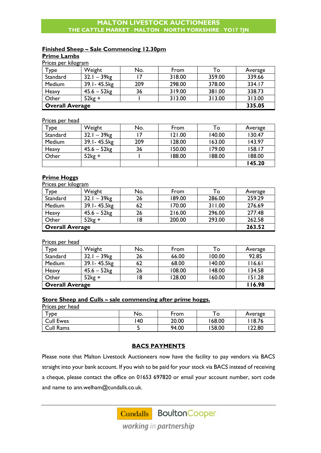# **Finished Sheep – Sale Commencing 12.30pm**

**Prime Lambs**   $\overline{P}$ 

| <u>Prices per kilogram</u> |                           |     |        |        |         |  |
|----------------------------|---------------------------|-----|--------|--------|---------|--|
| Type                       | Weight                    | No. | From   | To     | Average |  |
| Standard                   | $32.1 - 39$ <sub>kg</sub> |     | 318.00 | 359.00 | 339.66  |  |
| Medium                     | 39.1-45.5kg               | 209 | 298.00 | 378.00 | 334.17  |  |
| Heavy                      | $45.6 - 52$ kg            | 36  | 319.00 | 381.00 | 338.73  |  |
| Other                      | $52kg +$                  |     | 313.00 | 313.00 | 313.00  |  |
| <b>Overall Average</b>     |                           |     |        |        | 335.05  |  |

# Prices per head

| Type     | Weight         | No. | From   | To     | Average |
|----------|----------------|-----|--------|--------|---------|
| Standard | $32.1 - 39$ kg |     | 121.00 | 140.00 | 130.47  |
| Medium   | 39.1 - 45.5 kg | 209 | 128.00 | 163.00 | 143.97  |
| Heavy    | $45.6 - 52kg$  | 36  | 150.00 | 179.00 | 158.17  |
| Other    | $52kg +$       |     | 188.00 | 188.00 | 188.00  |
|          |                |     |        |        | 145.20  |

# **Prime Hoggs**

| Prices per kilogram    |                           |     |        |        |         |  |
|------------------------|---------------------------|-----|--------|--------|---------|--|
| Type                   | Weight                    | No. | From   | To     | Average |  |
| Standard               | $32.1 - 39$ <sub>kg</sub> | 26  | 189.00 | 286.00 | 259.29  |  |
| Medium                 | 39.1-45.5kg               | 62  | 170.00 | 311.00 | 276.69  |  |
| Heavy                  | $45.6 - 52$ kg            | 26  | 216.00 | 296.00 | 277.48  |  |
| Other                  | $52kg +$                  | 18  | 200.00 | 293.00 | 262.58  |  |
| <b>Overall Average</b> |                           |     |        | 263.52 |         |  |

#### Prices per head

| $T$ ype                | Weight                    | No. | From   | To     | Average |
|------------------------|---------------------------|-----|--------|--------|---------|
| Standard               | $32.1 - 39$ <sub>kg</sub> | 26  | 66.00  | 100.00 | 92.85   |
| Medium                 | 39.1-45.5kg               | 62  | 68.00  | 140.00 | 116.61  |
| Heavy                  | $45.6 - 52$ kg            | 26  | 108.00 | 148.00 | 134.58  |
| Other                  | $52kg +$                  | 18  | 128.00 | 160.00 | 151.28  |
| <b>Overall Average</b> |                           |     |        |        | 116.98  |

#### **Store Sheep and Culls – sale commencing after prime hoggs.**

Prices per head

| <b>YDe</b>       | No. | From  | O     | Average |
|------------------|-----|-------|-------|---------|
| <b>Cull Ewes</b> | 40  | 20.00 | 68.00 | 8.76    |
| Cull Rams        |     | 94.00 | 58.00 | 122.80  |

#### **BACS PAYMENTS**

Please note that Malton Livestock Auctioneers now have the facility to pay vendors via BACS straight into your bank account. If you wish to be paid for your stock via BACS instead of receiving a cheque, please contact the office on 01653 697820 or email your account number, sort code and name to [ann.welham@cundalls.co.uk.](mailto:ann.welham@cundalls.co.uk)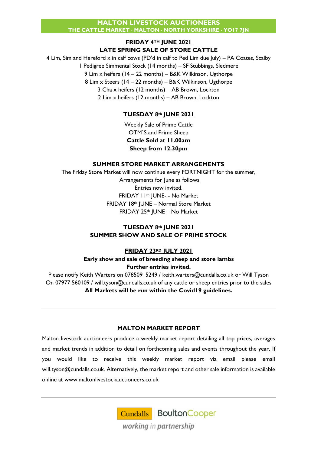# **FRIDAY 4TH JUNE 2021 LATE SPRING SALE OF STORE CATTLE**

4 Lim, Sim and Hereford x in calf cows (PD'd in calf to Ped Lim due July) – PA Coates, Scalby 1 Pedigree Simmental Stock (14 months) – SF Stubbings, Sledmere 9 Lim x heifers (14 – 22 months) – B&K Wilkinson, Ugthorpe 8 Lim x Steers (14 – 22 months) – B&K Wilkinson, Ugthorpe 3 Cha x heifers (12 months) – AB Brown, Lockton 2 Lim x heifers (12 months) – AB Brown, Lockton

# **TUESDAY 8th JUNE 2021**

Weekly Sale of Prime Cattle OTM`S and Prime Sheep **Cattle Sold at 11.00am Sheep from 12.30pm**

# **SUMMER STORE MARKET ARRANGEMENTS**

The Friday Store Market will now continue every FORTNIGHT for the summer, Arrangements for June as follows Entries now invited. FRIDAY 11th IUNE- - No Market FRIDAY 18th JUNE – Normal Store Market FRIDAY 25th JUNE – No Market

# **TUESDAY 8th JUNE 2021 SUMMER SHOW AND SALE OF PRIME STOCK**

# **FRIDAY 23RD JULY 2021**

**Early show and sale of breeding sheep and store lambs Further entries invited.**

Please notify Keith Warters on 07850915249 / [keith.warters@cundalls.co.uk](mailto:keith.warters@cundalls.co.uk) or Will Tyson On 07977 560109 / [will.tyson@cundalls.co.uk](mailto:will.tyson@cundalls.co.uk) of any cattle or sheep entries prior to the sales **All Markets will be run within the Covid19 guidelines.**

# **MALTON MARKET REPORT**

Malton livestock auctioneers produce a weekly market report detailing all top prices, averages and market trends in addition to detail on forthcoming sales and events throughout the year. If you would like to receive this weekly market report via email please email [will.tyson@cundalls.co.uk.](mailto:will.tyson@cundalls.co.uk) Alternatively, the market report and other sale information is available online at [www.maltonlivestockauctioneers.co.uk](http://www.maltonlivestockauctioneers.co.uk/)